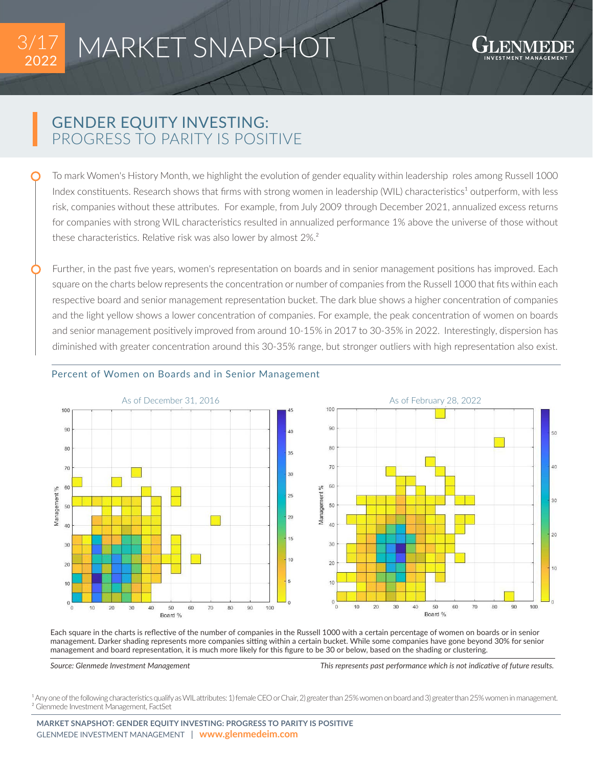

## MARKET SNAPSHOT

50

 $40$ 

 $30<sup>2</sup>$ 

 $20$ 

 $10$ 

## GENDER EQUITY INVESTING: PROGRESS TO PARITY IS POSITIVE

To mark Women's History Month, we highlight the evolution of gender equality within leadership roles among Russell 1000 Index constituents. Research shows that firms with strong women in leadership (WIL) characteristics<sup>1</sup> outperform, with less risk, companies without these attributes. For example, from July 2009 through December 2021, annualized excess returns for companies with strong WIL characteristics resulted in annualized performance 1% above the universe of those without these characteristics. Relative risk was also lower by almost 2%.²

Further, in the past five years, women's representation on boards and in senior management positions has improved. Each square on the charts below represents the concentration or number of companies from the Russell 1000 that fits within each respective board and senior management representation bucket. The dark blue shows a higher concentration of companies and the light yellow shows a lower concentration of companies. For example, the peak concentration of women on boards and senior management positively improved from around 10-15% in 2017 to 30-35% in 2022. Interestingly, dispersion has diminished with greater concentration around this 30-35% range, but stronger outliers with high representation also exist.



## Percent of Women on Boards and in Senior Management

Each square in the charts is reflective of the number of companies in the Russell 1000 with a certain percentage of women on boards or in senior management. Darker shading represents more companies sitting within a certain bucket. While some companies have gone beyond 30% for senior management and board representation, it is much more likely for this figure to be 30 or below, based on the shading or clustering.

*Source: Glenmede Investment Management This represents past performance which is not indicative of future results.*

<sup>1</sup> Any one of the following characteristics qualify as WIL attributes: 1) female CEO or Chair, 2) greater than 25% women on board and 3) greater than 25% women in management. ² Glenmede Investment Management, FactSet